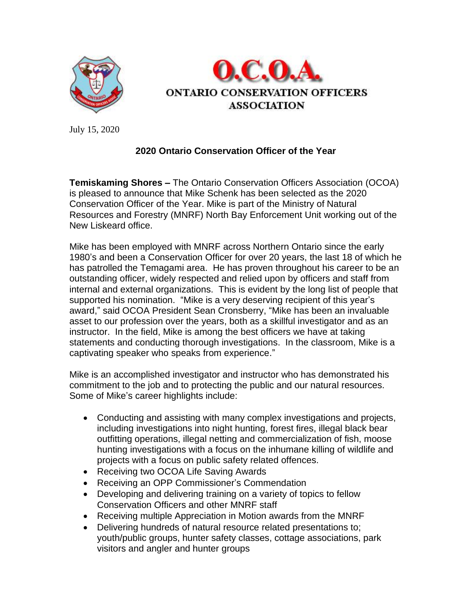



July 15, 2020

## **2020 Ontario Conservation Officer of the Year**

**Temiskaming Shores –** The Ontario Conservation Officers Association (OCOA) is pleased to announce that Mike Schenk has been selected as the 2020 Conservation Officer of the Year. Mike is part of the Ministry of Natural Resources and Forestry (MNRF) North Bay Enforcement Unit working out of the New Liskeard office.

Mike has been employed with MNRF across Northern Ontario since the early 1980's and been a Conservation Officer for over 20 years, the last 18 of which he has patrolled the Temagami area. He has proven throughout his career to be an outstanding officer, widely respected and relied upon by officers and staff from internal and external organizations. This is evident by the long list of people that supported his nomination. "Mike is a very deserving recipient of this year's award," said OCOA President Sean Cronsberry, "Mike has been an invaluable asset to our profession over the years, both as a skillful investigator and as an instructor. In the field, Mike is among the best officers we have at taking statements and conducting thorough investigations. In the classroom, Mike is a captivating speaker who speaks from experience."

Mike is an accomplished investigator and instructor who has demonstrated his commitment to the job and to protecting the public and our natural resources. Some of Mike's career highlights include:

- Conducting and assisting with many complex investigations and projects, including investigations into night hunting, forest fires, illegal black bear outfitting operations, illegal netting and commercialization of fish, moose hunting investigations with a focus on the inhumane killing of wildlife and projects with a focus on public safety related offences.
- Receiving two OCOA Life Saving Awards
- Receiving an OPP Commissioner's Commendation
- Developing and delivering training on a variety of topics to fellow Conservation Officers and other MNRF staff
- Receiving multiple Appreciation in Motion awards from the MNRF
- Delivering hundreds of natural resource related presentations to; youth/public groups, hunter safety classes, cottage associations, park visitors and angler and hunter groups